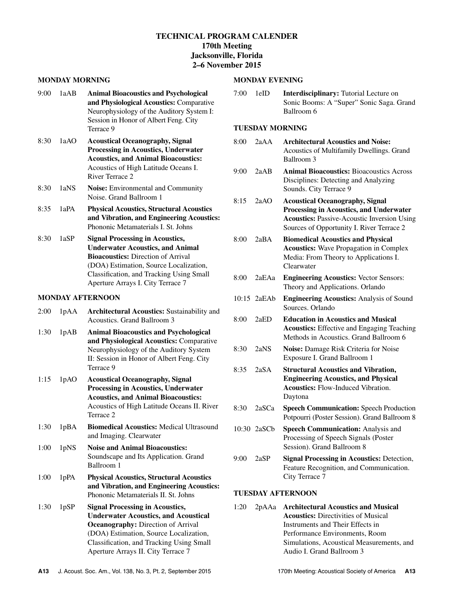# **TECHNICAL PROGRAM CALENDER 170th Meeting Jacksonville, Florida 2–6 November 2015**

#### **MONDAY MORNING**

| 1aAB | <b>Animal Bioacoustics and Psychological</b><br>and Physiological Acoustics: Comparative<br>Neurophysiology of the Auditory System I:<br>Session in Honor of Albert Feng. City<br>Terrace 9                                                               |
|------|-----------------------------------------------------------------------------------------------------------------------------------------------------------------------------------------------------------------------------------------------------------|
| 1aAO | <b>Acoustical Oceanography, Signal</b><br><b>Processing in Acoustics, Underwater</b><br><b>Acoustics, and Animal Bioacoustics:</b><br>Acoustics of High Latitude Oceans I.<br>River Terrace 2                                                             |
| 1aNS | <b>Noise:</b> Environmental and Community<br>Noise. Grand Ballroom 1                                                                                                                                                                                      |
| 1aPA | <b>Physical Acoustics, Structural Acoustics</b><br>and Vibration, and Engineering Acoustics:<br>Phononic Metamaterials I. St. Johns                                                                                                                       |
| 1aSP | <b>Signal Processing in Acoustics,</b><br><b>Underwater Acoustics, and Animal</b><br><b>Bioacoustics:</b> Direction of Arrival<br>(DOA) Estimation, Source Localization,<br>Classification, and Tracking Using Small<br>Aperture Arrays I. City Terrace 7 |
|      | LOWD IV A BERNALO ON                                                                                                                                                                                                                                      |

### **MONDAY AFTERNOON**

| 2:00 | 1 <sub>p</sub> A <sub>A</sub> | <b>Architectural Acoustics:</b> Sustainability and<br>Acoustics. Grand Ballroom 3 |
|------|-------------------------------|-----------------------------------------------------------------------------------|
| 1:30 | 1pAB                          | <b>Animal Bioacoustics and Psychological</b>                                      |
|      |                               | and Physiological Acoustics: Comparative                                          |
|      |                               | Neurophysiology of the Auditory System                                            |
|      |                               | II: Session in Honor of Albert Feng. City                                         |

1:15 1pAO **Acoustical Oceanography, Signal Processing in Acoustics, Underwater Acoustics, and Animal Bioacoustics:** Acoustics of High Latitude Oceans II. River Terrace 2

Terrace 9

- 1:30 1pBA **Biomedical Acoustics:** Medical Ultrasound and Imaging. Clearwater
- 1:00 1pNS **Noise and Animal Bioacoustics:** Soundscape and Its Application. Grand Ballroom 1
- 1:00 1pPA **Physical Acoustics, Structural Acoustics and Vibration, and Engineering Acoustics:** Phononic Metamaterials II. St. Johns
- 1:30 1pSP **Signal Processing in Acoustics, Underwater Acoustics, and Acoustical Oceanography:** Direction of Arrival (DOA) Estimation, Source Localization, Classification, and Tracking Using Small Aperture Arrays II. City Terrace 7

### **MONDAY EVENING**

7:00 1eID **Interdisciplinary:** Tutorial Lecture on Sonic Booms: A "Super" Sonic Saga. Grand Ballroom 6

#### **TUESDAY MORNING**

| 8:00 | 2aAA  | <b>Architectural Acoustics and Noise:</b><br>Acoustics of Multifamily Dwellings. Grand<br>Ballroom 3                                                                                 |
|------|-------|--------------------------------------------------------------------------------------------------------------------------------------------------------------------------------------|
| 9:00 | 2aAB  | <b>Animal Bioacoustics: Bioacoustics Across</b><br>Disciplines: Detecting and Analyzing<br>Sounds. City Terrace 9                                                                    |
| 8:15 | 2aAO  | <b>Acoustical Oceanography, Signal</b><br>Processing in Acoustics, and Underwater<br><b>Acoustics: Passive-Acoustic Inversion Using</b><br>Sources of Opportunity I. River Terrace 2 |
| 8:00 | 2aBA  | <b>Biomedical Acoustics and Physical</b><br><b>Acoustics:</b> Wave Propagation in Complex<br>Media: From Theory to Applications I.<br>Clearwater                                     |
| 8:00 | 2aEAa | <b>Engineering Acoustics:</b> Vector Sensors:<br>Theory and Applications. Orlando                                                                                                    |
|      |       |                                                                                                                                                                                      |

- 10:15 2aEAb **Engineering Acoustics:** Analysis of Sound Sources. Orlando
- 8:00 2aED **Education in Acoustics and Musical Acoustics:** Effective and Engaging Teaching Methods in Acoustics. Grand Ballroom 6
- 8:30 2aNS **Noise:** Damage Risk Criteria for Noise Exposure I. Grand Ballroom 1
- 8:35 2aSA **Structural Acoustics and Vibration, Engineering Acoustics, and Physical Acoustics:** Flow-Induced Vibration. Daytona
- 8:30 2aSCa **Speech Communication:** Speech Production Potpourri (Poster Session). Grand Ballroom 8
- 10:30 2aSCb **Speech Communication:** Analysis and Processing of Speech Signals (Poster Session). Grand Ballroom 8
- 9:00 2aSP **Signal Processing in Acoustics:** Detection, Feature Recognition, and Communication. City Terrace 7

## **TUESDAY AFTERNOON**

1:20 2pAAa **Architectural Acoustics and Musical Acoustics:** Directivities of Musical Instruments and Their Effects in Performance Environments, Room Simulations, Acoustical Measurements, and Audio I. Grand Ballroom 3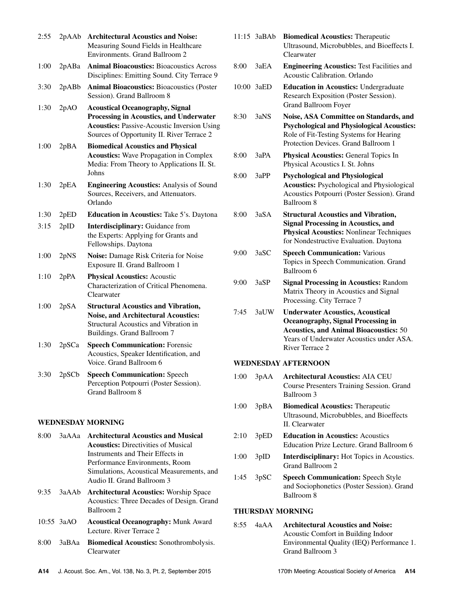| 2:55 | 2pAAb | <b>Architectural Acoustics and Noise:</b><br>Measuring Sound Fields in Healthcare<br>Environments. Grand Ballroom 2                                                                          |
|------|-------|----------------------------------------------------------------------------------------------------------------------------------------------------------------------------------------------|
| 1:00 | 2pABa | <b>Animal Bioacoustics: Bioacoustics Across</b><br>Disciplines: Emitting Sound. City Terrace 9                                                                                               |
| 3:30 | 2pABb | <b>Animal Bioacoustics: Bioacoustics (Poster</b><br>Session). Grand Ballroom 8                                                                                                               |
| 1:30 | 2pAO  | <b>Acoustical Oceanography, Signal</b><br><b>Processing in Acoustics, and Underwater</b><br><b>Acoustics: Passive-Acoustic Inversion Using</b><br>Sources of Opportunity II. River Terrace 2 |
| 1:00 | 2pBA  | <b>Biomedical Acoustics and Physical</b><br><b>Acoustics:</b> Wave Propagation in Complex<br>Media: From Theory to Applications II. St.<br>Johns                                             |
| 1:30 | 2pEA  | <b>Engineering Acoustics: Analysis of Sound</b><br>Sources, Receivers, and Attenuators.<br>Orlando                                                                                           |
| 1:30 | 2pED  | <b>Education in Acoustics:</b> Take 5's. Daytona                                                                                                                                             |
| 3:15 | 2pID  | Interdisciplinary: Guidance from<br>the Experts: Applying for Grants and<br>Fellowships. Daytona                                                                                             |
| 1:00 | 2pNS  | Noise: Damage Risk Criteria for Noise<br>Exposure II. Grand Ballroom 1                                                                                                                       |
| 1:10 | 2pPA  | <b>Physical Acoustics: Acoustic</b><br>Characterization of Critical Phenomena.<br>Clearwater                                                                                                 |
| 1:00 | 2pSA  | <b>Structural Acoustics and Vibration,</b><br><b>Noise, and Architectural Acoustics:</b><br>Structural Acoustics and Vibration in<br>Buildings. Grand Ballroom 7                             |
| 1:30 | 2pSCa | <b>Speech Communication: Forensic</b><br>Acoustics, Speaker Identification, and<br>Voice. Grand Ballroom 6                                                                                   |
| 3:30 | 2pSCb | <b>Speech Communication: Speech</b><br>Perception Potpourri (Poster Session).<br>Grand Ballroom 8                                                                                            |

#### **WEDNESDAY MORNING**

- 8:00 3aAAa **Architectural Acoustics and Musical Acoustics:** Directivities of Musical Instruments and Their Effects in Performance Environments, Room Simulations, Acoustical Measurements, and Audio II. Grand Ballroom 3
- 9:35 3aAAb **Architectural Acoustics:** Worship Space Acoustics: Three Decades of Design. Grand Ballroom 2
- 10:55 3aAO **Acoustical Oceanography:** Munk Award Lecture. River Terrace 2
- 8:00 3aBAa **Biomedical Acoustics:** Sonothrombolysis. Clearwater

|       | 11:15 3aBAb | <b>Biomedical Acoustics: Therapeutic</b><br>Ultrasound, Microbubbles, and Bioeffects I.<br>Clearwater                                                                                                |
|-------|-------------|------------------------------------------------------------------------------------------------------------------------------------------------------------------------------------------------------|
| 8:00  | 3aEA        | <b>Engineering Acoustics: Test Facilities and</b><br><b>Acoustic Calibration. Orlando</b>                                                                                                            |
| 10:00 | 3aED        | <b>Education in Acoustics: Undergraduate</b><br>Research Exposition (Poster Session).<br><b>Grand Ballroom Foyer</b>                                                                                 |
| 8:30  | 3aNS        | Noise, ASA Committee on Standards, and<br><b>Psychological and Physiological Acoustics:</b><br>Role of Fit-Testing Systems for Hearing<br>Protection Devices. Grand Ballroom 1                       |
| 8:00  | 3aPA        | Physical Acoustics: General Topics In<br>Physical Acoustics I. St. Johns                                                                                                                             |
| 8:00  | 3aPP        | <b>Psychological and Physiological</b><br><b>Acoustics:</b> Psychological and Physiological<br>Acoustics Potpourri (Poster Session). Grand<br>Ballroom <sub>8</sub>                                  |
| 8:00  | 3aSA        | <b>Structural Acoustics and Vibration,</b><br><b>Signal Processing in Acoustics, and</b><br><b>Physical Acoustics: Nonlinear Techniques</b><br>for Nondestructive Evaluation. Daytona                |
| 9:00  | 3aSC        | <b>Speech Communication: Various</b><br>Topics in Speech Communication. Grand<br>Ballroom 6                                                                                                          |
| 9:00  | 3aSP        | <b>Signal Processing in Acoustics: Random</b><br>Matrix Theory in Acoustics and Signal<br>Processing. City Terrace 7                                                                                 |
| 7:45  | 3aUW        | <b>Underwater Acoustics, Acoustical</b><br><b>Oceanography, Signal Processing in</b><br><b>Acoustics, and Animal Bioacoustics: 50</b><br>Years of Underwater Acoustics under ASA.<br>River Terrace 2 |
|       |             |                                                                                                                                                                                                      |

### **WEDNESDAY AFTERNOON**

- 1:00 3pAA **Architectural Acoustics:** AIA CEU Course Presenters Training Session. Grand Ballroom 3 1:00 3pBA **Biomedical Acoustics:** Therapeutic
- Ultrasound, Microbubbles, and Bioeffects II. Clearwater
- 2:10 3pED **Education in Acoustics:** Acoustics Education Prize Lecture. Grand Ballroom 6
- 1:00 3pID **Interdisciplinary:** Hot Topics in Acoustics. Grand Ballroom 2
- 1:45 3pSC **Speech Communication:** Speech Style and Sociophonetics (Poster Session). Grand Ballroom 8

# **THURSDAY MORNING**

8:55 4aAA **Architectural Acoustics and Noise:** Acoustic Comfort in Building Indoor Environmental Quality (IEQ) Performance 1. Grand Ballroom 3